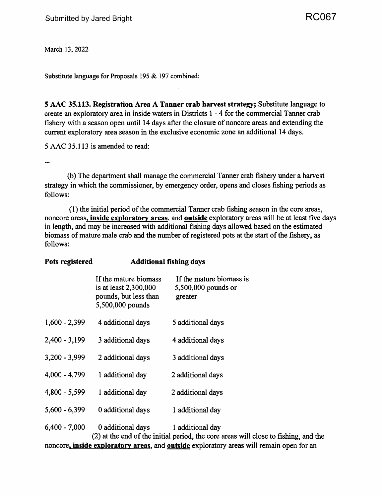March 13, 2022

Substitute language for Proposals 195 & 197 combined:

**Pots registered Additional fishing days** 

**5 AAC 35.113. Registration Area A Tanner crab harvest strategy;** Substitute language to create an exploratory area in inside waters in Districts 1 - 4 for the commercial Tanner crab fishery with a season open until 14 days after the closure of noncore areas and extending the current exploratory area season in the exclusive economic zone an additional 14 days.

5 AAC 35 .113 is amended to read:

 $\ddotsc$ 

(b) The department shall manage the commercial Tanner crab fishery under a harvest strategy in which the commissioner, by emergency order, opens and closes fishing periods as follows:

(1) the initial period ofthe commercial Tanner crab fishing season in the core areas, noncore areas, **inside exploratory areas,** and **outside** exploratory areas will be at least five days in length, and may be increased with additional fishing days allowed based on the estimated biomass of mature male crab and the number of registered pots at the start of the fishery, as follows:

| POIS registered | AQQIUONAI IISNING QAYS                                                                      |                                                                                    |
|-----------------|---------------------------------------------------------------------------------------------|------------------------------------------------------------------------------------|
|                 | If the mature biomass<br>is at least 2,300,000<br>pounds, but less than<br>5,500,000 pounds | If the mature biomass is<br>5,500,000 pounds or<br>greater                         |
| $1,600 - 2,399$ | 4 additional days                                                                           | 5 additional days                                                                  |
| $2,400 - 3,199$ | 3 additional days                                                                           | 4 additional days                                                                  |
| $3,200 - 3,999$ | 2 additional days                                                                           | 3 additional days                                                                  |
| $4,000 - 4,799$ | 1 additional day                                                                            | 2 additional days                                                                  |
| $4,800 - 5,599$ | 1 additional day                                                                            | 2 additional days                                                                  |
| $5,600 - 6,399$ | 0 additional days                                                                           | 1 additional day                                                                   |
| $6,400 - 7,000$ | 0 additional days                                                                           | 1 additional day<br>(2) ot the and of the initial neutral the case quese will also |

(2) at the end of the initial period, the core areas will close to fishing, and the noncore, **inside exploratory areas,** and **outside** exploratory areas will remain open for an